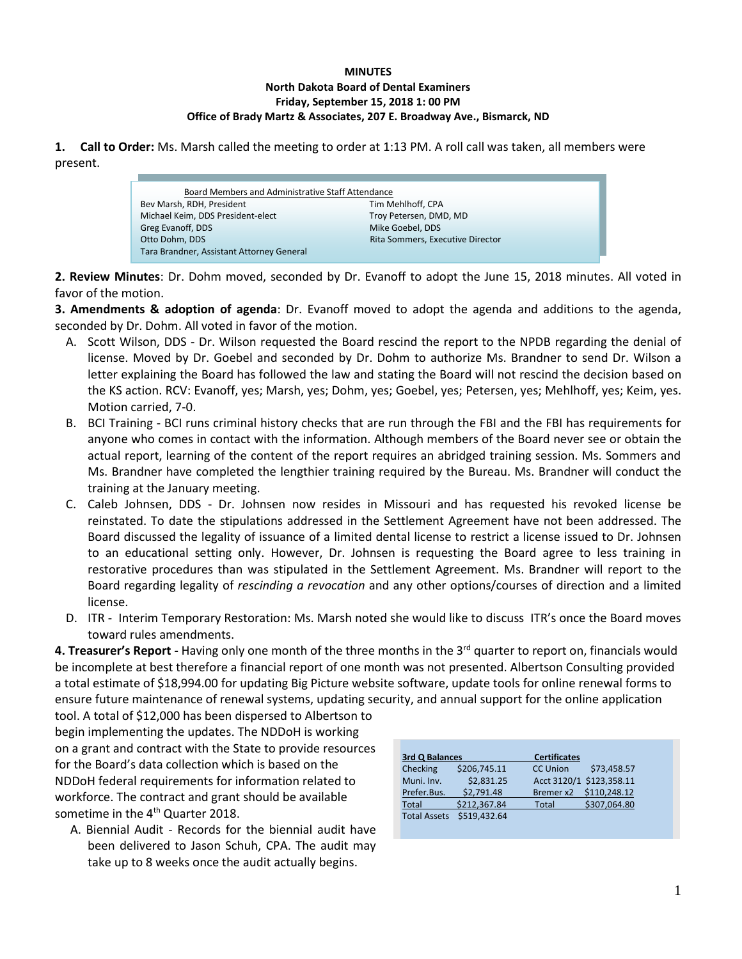#### **MINUTES North Dakota Board of Dental Examiners Friday, September 15, 2018 1: 00 PM Office of Brady Martz & Associates, 207 E. Broadway Ave., Bismarck, ND**

**1. Call to Order:** Ms. Marsh called the meeting to order at 1:13 PM. A roll call was taken, all members were present.

| Board Members and Administrative Staff Attendance |                                  |  |
|---------------------------------------------------|----------------------------------|--|
| Bev Marsh, RDH, President                         | Tim Mehlhoff, CPA                |  |
| Michael Keim, DDS President-elect                 | Troy Petersen, DMD, MD           |  |
| Greg Evanoff, DDS                                 | Mike Goebel, DDS                 |  |
| Otto Dohm, DDS                                    | Rita Sommers, Executive Director |  |
| Tara Brandner, Assistant Attorney General         |                                  |  |

**2. Review Minutes**: Dr. Dohm moved, seconded by Dr. Evanoff to adopt the June 15, 2018 minutes. All voted in favor of the motion.

**3. Amendments & adoption of agenda**: Dr. Evanoff moved to adopt the agenda and additions to the agenda, seconded by Dr. Dohm. All voted in favor of the motion.

- A. Scott Wilson, DDS Dr. Wilson requested the Board rescind the report to the NPDB regarding the denial of license. Moved by Dr. Goebel and seconded by Dr. Dohm to authorize Ms. Brandner to send Dr. Wilson a letter explaining the Board has followed the law and stating the Board will not rescind the decision based on the KS action. RCV: Evanoff, yes; Marsh, yes; Dohm, yes; Goebel, yes; Petersen, yes; Mehlhoff, yes; Keim, yes. Motion carried, 7-0.
- B. BCI Training BCI runs criminal history checks that are run through the FBI and the FBI has requirements for anyone who comes in contact with the information. Although members of the Board never see or obtain the actual report, learning of the content of the report requires an abridged training session. Ms. Sommers and Ms. Brandner have completed the lengthier training required by the Bureau. Ms. Brandner will conduct the training at the January meeting.
- C. Caleb Johnsen, DDS Dr. Johnsen now resides in Missouri and has requested his revoked license be reinstated. To date the stipulations addressed in the Settlement Agreement have not been addressed. The Board discussed the legality of issuance of a limited dental license to restrict a license issued to Dr. Johnsen to an educational setting only. However, Dr. Johnsen is requesting the Board agree to less training in restorative procedures than was stipulated in the Settlement Agreement. Ms. Brandner will report to the Board regarding legality of *rescinding a revocation* and any other options/courses of direction and a limited license.
- D. ITR Interim Temporary Restoration: Ms. Marsh noted she would like to discuss ITR's once the Board moves toward rules amendments.

4. Treasurer's Report - Having only one month of the three months in the 3<sup>rd</sup> quarter to report on, financials would be incomplete at best therefore a financial report of one month was not presented. Albertson Consulting provided a total estimate of \$18,994.00 for updating Big Picture website software, update tools for online renewal forms to ensure future maintenance of renewal systems, updating security, and annual support for the online application

tool. A total of \$12,000 has been dispersed to Albertson to begin implementing the updates. The NDDoH is working on a grant and contract with the State to provide resources for the Board's data collection which is based on the NDDoH federal requirements for information related to workforce. The contract and grant should be available sometime in the 4<sup>th</sup> Quarter 2018.

f

A. Biennial Audit - Records for the biennial audit have been delivered to Jason Schuh, CPA. The audit may take up to 8 weeks once the audit actually begins.

| 3rd Q Balances      |              | <b>Certificates</b> |                          |
|---------------------|--------------|---------------------|--------------------------|
| Checking            | \$206,745.11 | <b>CC Union</b>     | \$73,458.57              |
| Muni. Inv.          | \$2,831.25   |                     | Acct 3120/1 \$123,358.11 |
| Prefer.Bus.         | \$2.791.48   | Bremer x2           | \$110,248.12             |
| Total               | \$212,367.84 | Total               | \$307,064.80             |
| <b>Total Assets</b> | \$519.432.64 |                     |                          |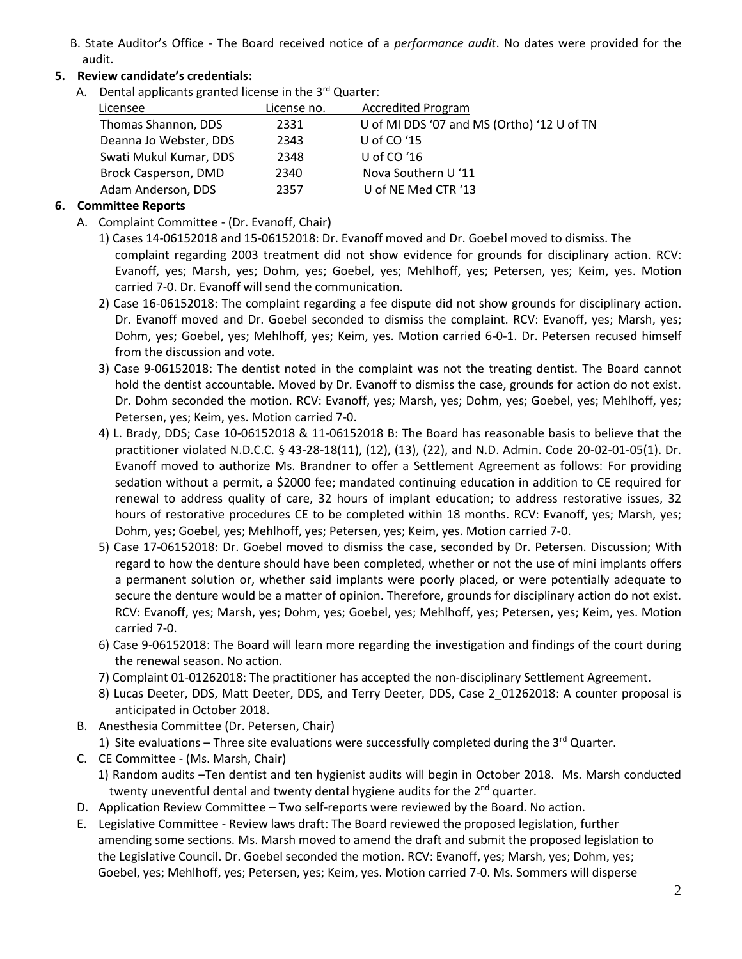B. State Auditor's Office - The Board received notice of a *performance audit*. No dates were provided for the audit.

# **5. Review candidate's credentials:**

A.Dental applicants granted license in the 3rd Quarter:

| Licensee               | License no. | <b>Accredited Program</b>                  |
|------------------------|-------------|--------------------------------------------|
| Thomas Shannon, DDS    | 2331        | U of MI DDS '07 and MS (Ortho) '12 U of TN |
| Deanna Jo Webster, DDS | 2343        | U of CO $'15$                              |
| Swati Mukul Kumar, DDS | 2348        | U of $CO'16$                               |
| Brock Casperson, DMD   | 2340        | Nova Southern U '11                        |
| Adam Anderson, DDS     | 2357        | U of NE Med CTR '13                        |
|                        |             |                                            |

## **6. Committee Reports**

- A. Complaint Committee (Dr. Evanoff, Chair**)** 
	- 1) Cases 14-06152018 and 15-06152018: Dr. Evanoff moved and Dr. Goebel moved to dismiss. The complaint regarding 2003 treatment did not show evidence for grounds for disciplinary action. RCV: Evanoff, yes; Marsh, yes; Dohm, yes; Goebel, yes; Mehlhoff, yes; Petersen, yes; Keim, yes. Motion carried 7-0. Dr. Evanoff will send the communication.
	- 2) Case 16-06152018: The complaint regarding a fee dispute did not show grounds for disciplinary action. Dr. Evanoff moved and Dr. Goebel seconded to dismiss the complaint. RCV: Evanoff, yes; Marsh, yes; Dohm, yes; Goebel, yes; Mehlhoff, yes; Keim, yes. Motion carried 6-0-1. Dr. Petersen recused himself from the discussion and vote.
	- 3) Case 9-06152018: The dentist noted in the complaint was not the treating dentist. The Board cannot hold the dentist accountable. Moved by Dr. Evanoff to dismiss the case, grounds for action do not exist. Dr. Dohm seconded the motion. RCV: Evanoff, yes; Marsh, yes; Dohm, yes; Goebel, yes; Mehlhoff, yes; Petersen, yes; Keim, yes. Motion carried 7-0.
	- 4) L. Brady, DDS; Case 10-06152018 & 11-06152018 B: The Board has reasonable basis to believe that the practitioner violated N.D.C.C. § 43-28-18(11), (12), (13), (22), and N.D. Admin. Code 20-02-01-05(1). Dr. Evanoff moved to authorize Ms. Brandner to offer a Settlement Agreement as follows: For providing sedation without a permit, a \$2000 fee; mandated continuing education in addition to CE required for renewal to address quality of care, 32 hours of implant education; to address restorative issues, 32 hours of restorative procedures CE to be completed within 18 months. RCV: Evanoff, yes; Marsh, yes; Dohm, yes; Goebel, yes; Mehlhoff, yes; Petersen, yes; Keim, yes. Motion carried 7-0.
	- 5) Case 17-06152018: Dr. Goebel moved to dismiss the case, seconded by Dr. Petersen. Discussion; With regard to how the denture should have been completed, whether or not the use of mini implants offers a permanent solution or, whether said implants were poorly placed, or were potentially adequate to secure the denture would be a matter of opinion. Therefore, grounds for disciplinary action do not exist. RCV: Evanoff, yes; Marsh, yes; Dohm, yes; Goebel, yes; Mehlhoff, yes; Petersen, yes; Keim, yes. Motion carried 7-0.
	- 6) Case 9-06152018: The Board will learn more regarding the investigation and findings of the court during the renewal season. No action.
	- 7) Complaint 01-01262018: The practitioner has accepted the non-disciplinary Settlement Agreement.
	- 8) Lucas Deeter, DDS, Matt Deeter, DDS, and Terry Deeter, DDS, Case 2\_01262018: A counter proposal is anticipated in October 2018.
- B. Anesthesia Committee (Dr. Petersen, Chair)
	- 1) Site evaluations Three site evaluations were successfully completed during the  $3^{rd}$  Quarter.
- C. CE Committee (Ms. Marsh, Chair)
	- 1) Random audits –Ten dentist and ten hygienist audits will begin in October 2018. Ms. Marsh conducted twenty uneventful dental and twenty dental hygiene audits for the  $2<sup>nd</sup>$  quarter.
- D. Application Review Committee Two self-reports were reviewed by the Board. No action.
- E. Legislative Committee Review laws draft: The Board reviewed the proposed legislation, further amending some sections. Ms. Marsh moved to amend the draft and submit the proposed legislation to the Legislative Council. Dr. Goebel seconded the motion. RCV: Evanoff, yes; Marsh, yes; Dohm, yes; Goebel, yes; Mehlhoff, yes; Petersen, yes; Keim, yes. Motion carried 7-0. Ms. Sommers will disperse